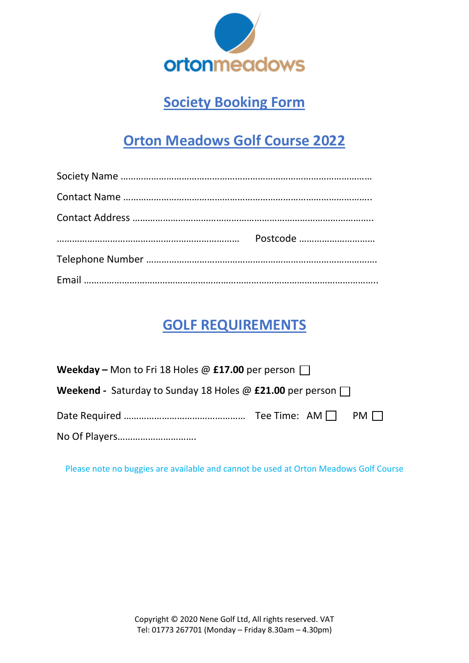

# **Society Booking Form**

# **Orton Meadows Golf Course 2022**

| Postcode |
|----------|
|          |
|          |

## **GOLF REQUIREMENTS**

| <b>Weekday</b> – Mon to Fri 18 Holes @ £17.00 per person $\Box$           |  |  |  |  |
|---------------------------------------------------------------------------|--|--|--|--|
| <b>Weekend</b> - Saturday to Sunday 18 Holes @ $£21.00$ per person $\Box$ |  |  |  |  |
|                                                                           |  |  |  |  |
|                                                                           |  |  |  |  |

Please note no buggies are available and cannot be used at Orton Meadows Golf Course